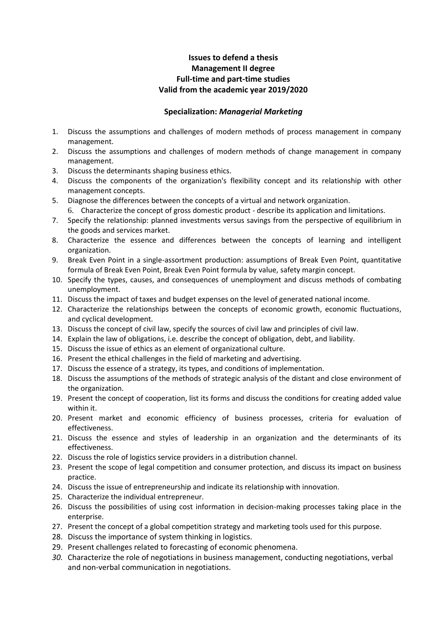## **Issues to defend a thesis Management II degree Full-time and part-time studies Valid from the academic year 2019/2020**

## **Specialization:** *Managerial Marketing*

- 1. Discuss the assumptions and challenges of modern methods of process management in company management.
- 2. Discuss the assumptions and challenges of modern methods of change management in company management.
- 3. Discuss the determinants shaping business ethics.
- 4. Discuss the components of the organization's flexibility concept and its relationship with other management concepts.
- 5. Diagnose the differences between the concepts of a virtual and network organization.
	- 6. Characterize the concept of gross domestic product describe its application and limitations.
- 7. Specify the relationship: planned investments versus savings from the perspective of equilibrium in the goods and services market.
- 8. Characterize the essence and differences between the concepts of learning and intelligent organization.
- 9. Break Even Point in a single-assortment production: assumptions of Break Even Point, quantitative formula of Break Even Point, Break Even Point formula by value, safety margin concept.
- 10. Specify the types, causes, and consequences of unemployment and discuss methods of combating unemployment.
- 11. Discuss the impact of taxes and budget expenses on the level of generated national income.
- 12. Characterize the relationships between the concepts of economic growth, economic fluctuations, and cyclical development.
- 13. Discuss the concept of civil law, specify the sources of civil law and principles of civil law.
- 14. Explain the law of obligations, i.e. describe the concept of obligation, debt, and liability.
- 15. Discuss the issue of ethics as an element of organizational culture.
- 16. Present the ethical challenges in the field of marketing and advertising.
- 17. Discuss the essence of a strategy, its types, and conditions of implementation.
- 18. Discuss the assumptions of the methods of strategic analysis of the distant and close environment of the organization.
- 19. Present the concept of cooperation, list its forms and discuss the conditions for creating added value within it.
- 20. Present market and economic efficiency of business processes, criteria for evaluation of effectiveness.
- 21. Discuss the essence and styles of leadership in an organization and the determinants of its effectiveness.
- 22. Discuss the role of logistics service providers in a distribution channel.
- 23. Present the scope of legal competition and consumer protection, and discuss its impact on business practice.
- 24. Discuss the issue of entrepreneurship and indicate its relationship with innovation.
- 25. Characterize the individual entrepreneur.
- 26. Discuss the possibilities of using cost information in decision-making processes taking place in the enterprise.
- 27. Present the concept of a global competition strategy and marketing tools used for this purpose.
- 28. Discuss the importance of system thinking in logistics.
- 29. Present challenges related to forecasting of economic phenomena.
- *30.* Characterize the role of negotiations in business management, conducting negotiations, verbal and non-verbal communication in negotiations.